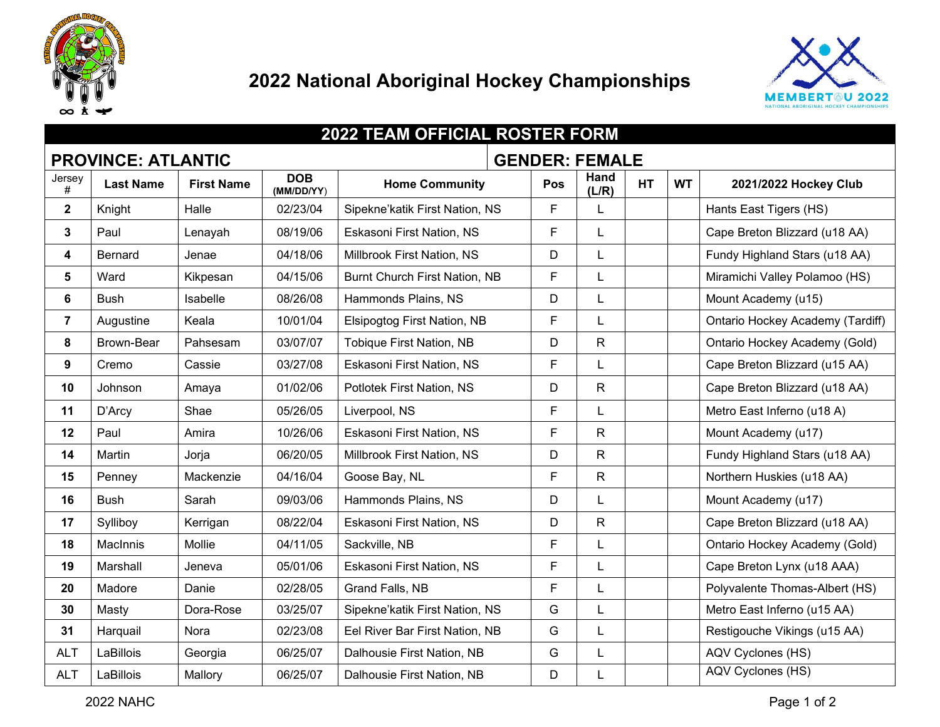



| <b>2022 TEAM OFFICIAL ROSTER FORM</b>              |                  |                   |                          |                                |  |     |               |           |           |                                  |
|----------------------------------------------------|------------------|-------------------|--------------------------|--------------------------------|--|-----|---------------|-----------|-----------|----------------------------------|
| <b>PROVINCE: ATLANTIC</b><br><b>GENDER: FEMALE</b> |                  |                   |                          |                                |  |     |               |           |           |                                  |
| Jersey<br>#                                        | <b>Last Name</b> | <b>First Name</b> | <b>DOB</b><br>(MM/DD/YY) | <b>Home Community</b>          |  | Pos | Hand<br>(L/R) | <b>HT</b> | <b>WT</b> | 2021/2022 Hockey Club            |
| $\boldsymbol{2}$                                   | Knight           | Halle             | 02/23/04                 | Sipekne'katik First Nation, NS |  | F   |               |           |           | Hants East Tigers (HS)           |
| 3                                                  | Paul             | Lenayah           | 08/19/06                 | Eskasoni First Nation, NS      |  | F   | L             |           |           | Cape Breton Blizzard (u18 AA)    |
| 4                                                  | Bernard          | Jenae             | 04/18/06                 | Millbrook First Nation, NS     |  | D   | L             |           |           | Fundy Highland Stars (u18 AA)    |
| $5\phantom{1}$                                     | Ward             | Kikpesan          | 04/15/06                 | Burnt Church First Nation, NB  |  | F   | L             |           |           | Miramichi Valley Polamoo (HS)    |
| 6                                                  | <b>Bush</b>      | Isabelle          | 08/26/08                 | Hammonds Plains, NS            |  | D   | L             |           |           | Mount Academy (u15)              |
| $\overline{7}$                                     | Augustine        | Keala             | 10/01/04                 | Elsipogtog First Nation, NB    |  | F   | L             |           |           | Ontario Hockey Academy (Tardiff) |
| 8                                                  | Brown-Bear       | Pahsesam          | 03/07/07                 | Tobique First Nation, NB       |  | D   | R             |           |           | Ontario Hockey Academy (Gold)    |
| $\boldsymbol{9}$                                   | Cremo            | Cassie            | 03/27/08                 | Eskasoni First Nation, NS      |  | F   |               |           |           | Cape Breton Blizzard (u15 AA)    |
| 10                                                 | Johnson          | Amaya             | 01/02/06                 | Potlotek First Nation, NS      |  | D   | R             |           |           | Cape Breton Blizzard (u18 AA)    |
| 11                                                 | D'Arcy           | Shae              | 05/26/05                 | Liverpool, NS                  |  | F   | L             |           |           | Metro East Inferno (u18 A)       |
| 12                                                 | Paul             | Amira             | 10/26/06                 | Eskasoni First Nation, NS      |  | F   | R             |           |           | Mount Academy (u17)              |
| 14                                                 | Martin           | Jorja             | 06/20/05                 | Millbrook First Nation, NS     |  | D   | R             |           |           | Fundy Highland Stars (u18 AA)    |
| 15                                                 | Penney           | Mackenzie         | 04/16/04                 | Goose Bay, NL                  |  | F.  | R.            |           |           | Northern Huskies (u18 AA)        |
| 16                                                 | <b>Bush</b>      | Sarah             | 09/03/06                 | Hammonds Plains, NS            |  | D   | L             |           |           | Mount Academy (u17)              |
| 17                                                 | Sylliboy         | Kerrigan          | 08/22/04                 | Eskasoni First Nation, NS      |  | D   | R             |           |           | Cape Breton Blizzard (u18 AA)    |
| 18                                                 | <b>MacInnis</b>  | Mollie            | 04/11/05                 | Sackville, NB                  |  | F   | L             |           |           | Ontario Hockey Academy (Gold)    |
| 19                                                 | Marshall         | Jeneva            | 05/01/06                 | Eskasoni First Nation, NS      |  | F   | L             |           |           | Cape Breton Lynx (u18 AAA)       |
| 20                                                 | Madore           | Danie             | 02/28/05                 | Grand Falls, NB                |  | F   | L             |           |           | Polyvalente Thomas-Albert (HS)   |
| 30                                                 | Masty            | Dora-Rose         | 03/25/07                 | Sipekne'katik First Nation, NS |  | G   |               |           |           | Metro East Inferno (u15 AA)      |
| 31                                                 | Harquail         | Nora              | 02/23/08                 | Eel River Bar First Nation, NB |  | G   | L             |           |           | Restigouche Vikings (u15 AA)     |
| <b>ALT</b>                                         | LaBillois        | Georgia           | 06/25/07                 | Dalhousie First Nation, NB     |  | G   | L             |           |           | AQV Cyclones (HS)                |
| <b>ALT</b>                                         | LaBillois        | Mallory           | 06/25/07                 | Dalhousie First Nation, NB     |  | D   | L             |           |           | AQV Cyclones (HS)                |